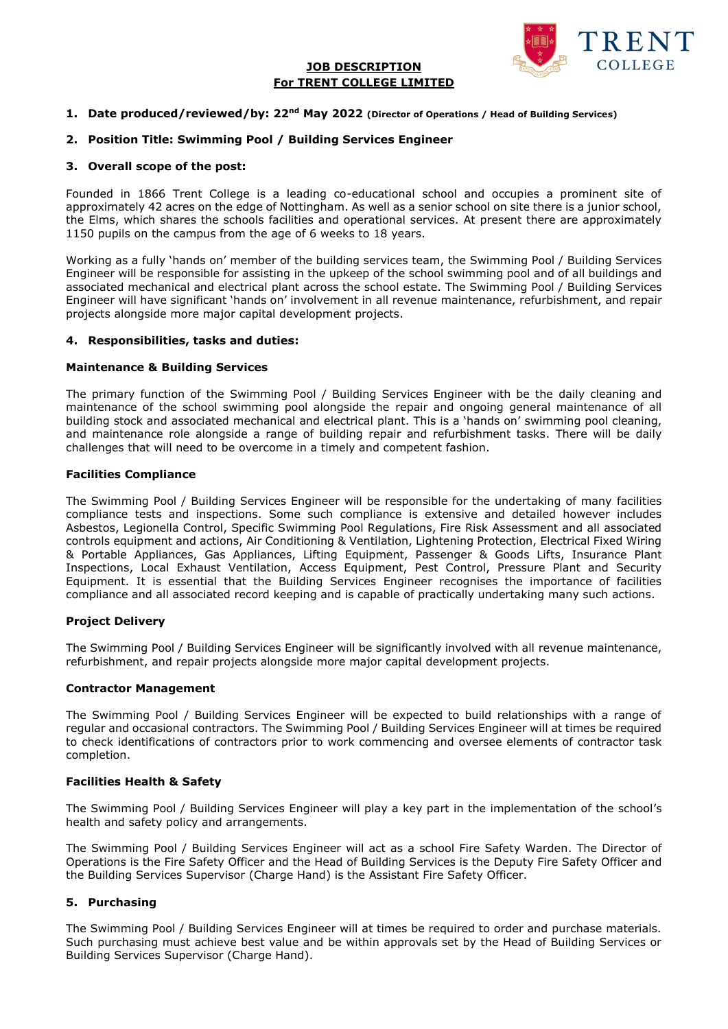## **JOB DESCRIPTION For TRENT COLLEGE LIMITED**



#### **1. Date produced/reviewed/by: 22nd May 2022 (Director of Operations / Head of Building Services)**

## **2. Position Title: Swimming Pool / Building Services Engineer**

#### **3. Overall scope of the post:**

Founded in 1866 Trent College is a leading co-educational school and occupies a prominent site of approximately 42 acres on the edge of Nottingham. As well as a senior school on site there is a junior school, the Elms, which shares the schools facilities and operational services. At present there are approximately 1150 pupils on the campus from the age of 6 weeks to 18 years.

Working as a fully 'hands on' member of the building services team, the Swimming Pool / Building Services Engineer will be responsible for assisting in the upkeep of the school swimming pool and of all buildings and associated mechanical and electrical plant across the school estate. The Swimming Pool / Building Services Engineer will have significant 'hands on' involvement in all revenue maintenance, refurbishment, and repair projects alongside more major capital development projects.

## **4. Responsibilities, tasks and duties:**

#### **Maintenance & Building Services**

The primary function of the Swimming Pool / Building Services Engineer with be the daily cleaning and maintenance of the school swimming pool alongside the repair and ongoing general maintenance of all building stock and associated mechanical and electrical plant. This is a 'hands on' swimming pool cleaning, and maintenance role alongside a range of building repair and refurbishment tasks. There will be daily challenges that will need to be overcome in a timely and competent fashion.

## **Facilities Compliance**

The Swimming Pool / Building Services Engineer will be responsible for the undertaking of many facilities compliance tests and inspections. Some such compliance is extensive and detailed however includes Asbestos, Legionella Control, Specific Swimming Pool Regulations, Fire Risk Assessment and all associated controls equipment and actions, Air Conditioning & Ventilation, Lightening Protection, Electrical Fixed Wiring & Portable Appliances, Gas Appliances, Lifting Equipment, Passenger & Goods Lifts, Insurance Plant Inspections, Local Exhaust Ventilation, Access Equipment, Pest Control, Pressure Plant and Security Equipment. It is essential that the Building Services Engineer recognises the importance of facilities compliance and all associated record keeping and is capable of practically undertaking many such actions.

#### **Project Delivery**

The Swimming Pool / Building Services Engineer will be significantly involved with all revenue maintenance, refurbishment, and repair projects alongside more major capital development projects.

#### **Contractor Management**

The Swimming Pool / Building Services Engineer will be expected to build relationships with a range of regular and occasional contractors. The Swimming Pool / Building Services Engineer will at times be required to check identifications of contractors prior to work commencing and oversee elements of contractor task completion.

## **Facilities Health & Safety**

The Swimming Pool / Building Services Engineer will play a key part in the implementation of the school's health and safety policy and arrangements.

The Swimming Pool / Building Services Engineer will act as a school Fire Safety Warden. The Director of Operations is the Fire Safety Officer and the Head of Building Services is the Deputy Fire Safety Officer and the Building Services Supervisor (Charge Hand) is the Assistant Fire Safety Officer.

## **5. Purchasing**

The Swimming Pool / Building Services Engineer will at times be required to order and purchase materials. Such purchasing must achieve best value and be within approvals set by the Head of Building Services or Building Services Supervisor (Charge Hand).